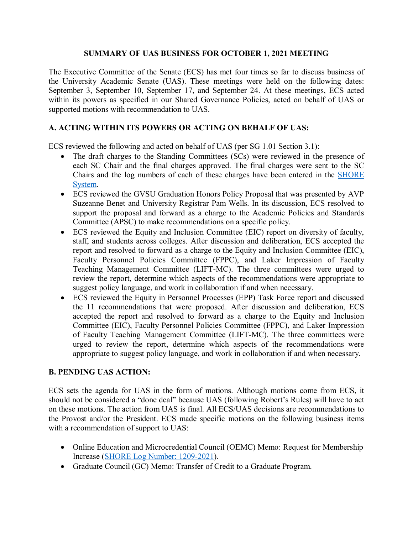## **SUMMARY OF UAS BUSINESS FOR OCTOBER 1, 2021 MEETING**

The Executive Committee of the Senate (ECS) has met four times so far to discuss business of the University Academic Senate (UAS). These meetings were held on the following dates: September 3, September 10, September 17, and September 24. At these meetings, ECS acted within its powers as specified in our Shared Governance Policies, acted on behalf of UAS or supported motions with recommendation to UAS.

## **A. ACTING WITHIN ITS POWERS OR ACTING ON BEHALF OF UAS:**

ECS reviewed the following and acted on behalf of UAS [\(per SG 1.01 Section 3.1\)](https://www.gvsu.edu/policies/policy.htm?policyId=3BE4D7D6-F74C-23A7-311B867FBDBE4500&search=acting+on+behalf+of+UAS):

- The draft charges to the Standing Committees (SCs) were reviewed in the presence of each SC Chair and the final charges approved. The final charges were sent to the SC Chairs and the log numbers of each of these charges have been entered in the [SHORE](https://intranet.gvsu.edu/shore/charge-index.htm)  [System.](https://intranet.gvsu.edu/shore/charge-index.htm)
- ECS reviewed the GVSU Graduation Honors Policy Proposal that was presented by AVP Suzeanne Benet and University Registrar Pam Wells. In its discussion, ECS resolved to support the proposal and forward as a charge to the Academic Policies and Standards Committee (APSC) to make recommendations on a specific policy.
- ECS reviewed the Equity and Inclusion Committee (EIC) report on diversity of faculty, staff, and students across colleges. After discussion and deliberation, ECS accepted the report and resolved to forward as a charge to the Equity and Inclusion Committee (EIC), Faculty Personnel Policies Committee (FPPC), and Laker Impression of Faculty Teaching Management Committee (LIFT-MC). The three committees were urged to review the report, determine which aspects of the recommendations were appropriate to suggest policy language, and work in collaboration if and when necessary.
- ECS reviewed the Equity in Personnel Processes (EPP) Task Force report and discussed the 11 recommendations that were proposed. After discussion and deliberation, ECS accepted the report and resolved to forward as a charge to the Equity and Inclusion Committee (EIC), Faculty Personnel Policies Committee (FPPC), and Laker Impression of Faculty Teaching Management Committee (LIFT-MC). The three committees were urged to review the report, determine which aspects of the recommendations were appropriate to suggest policy language, and work in collaboration if and when necessary.

## **B. PENDING UAS ACTION:**

ECS sets the agenda for UAS in the form of motions. Although motions come from ECS, it should not be considered a "done deal" because UAS (following Robert's Rules) will have to act on these motions. The action from UAS is final. All ECS/UAS decisions are recommendations to the Provost and/or the President. ECS made specific motions on the following business items with a recommendation of support to UAS:

- Online Education and Microcredential Council (OEMC) Memo: Request for Membership Increase [\(SHORE Log Number: 1209-2021\)](https://intranet.gvsu.edu/shore/charge-pending_ecs.htm?page=1&sort1col=committee&sort1asc=1&sort2col=entryDate&sort2asc=1&search=&year=&type=&committeeId=&status=76DB4C92-F055-0D09-E053460A3D94FB35&startDate=&endDate=).
- Graduate Council (GC) Memo: Transfer of Credit to a Graduate Program.